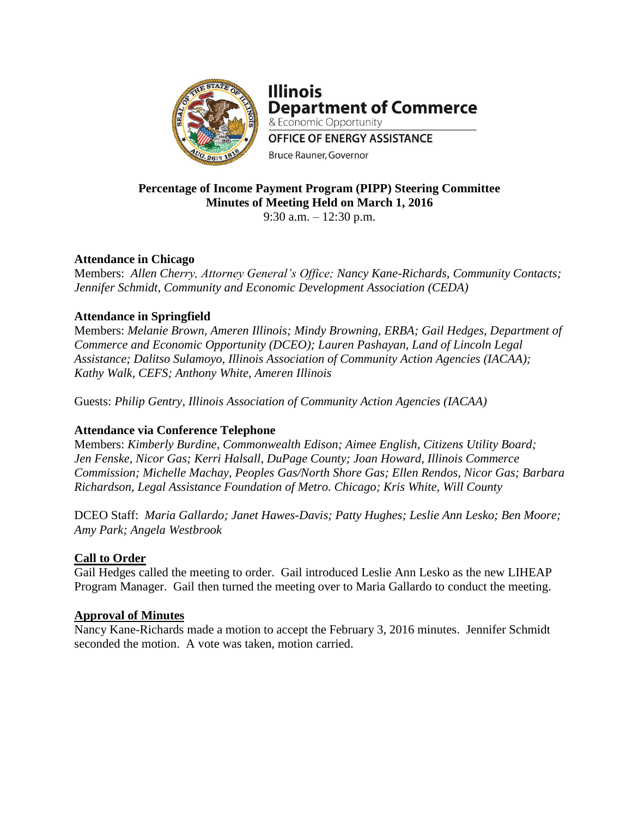

**Illinois Department of Commerce** & Economic Opportunity **OFFICE OF ENERGY ASSISTANCE** Bruce Rauner, Governor

### **Percentage of Income Payment Program (PIPP) Steering Committee Minutes of Meeting Held on March 1, 2016** 9:30 a.m. – 12:30 p.m.

# **Attendance in Chicago**

Members: *Allen Cherry, Attorney General's Office; Nancy Kane-Richards, Community Contacts; Jennifer Schmidt, Community and Economic Development Association (CEDA)*

### **Attendance in Springfield**

Members: *Melanie Brown, Ameren Illinois; Mindy Browning, ERBA; Gail Hedges, Department of Commerce and Economic Opportunity (DCEO); Lauren Pashayan, Land of Lincoln Legal Assistance; Dalitso Sulamoyo, Illinois Association of Community Action Agencies (IACAA); Kathy Walk, CEFS; Anthony White, Ameren Illinois*

Guests: *Philip Gentry, Illinois Association of Community Action Agencies (IACAA)*

# **Attendance via Conference Telephone**

Members: *Kimberly Burdine, Commonwealth Edison; Aimee English, Citizens Utility Board; Jen Fenske, Nicor Gas; Kerri Halsall, DuPage County; Joan Howard, Illinois Commerce Commission; Michelle Machay, Peoples Gas/North Shore Gas; Ellen Rendos, Nicor Gas; Barbara Richardson, Legal Assistance Foundation of Metro. Chicago; Kris White, Will County*

DCEO Staff: *Maria Gallardo; Janet Hawes-Davis; Patty Hughes; Leslie Ann Lesko; Ben Moore; Amy Park; Angela Westbrook*

#### **Call to Order**

Gail Hedges called the meeting to order. Gail introduced Leslie Ann Lesko as the new LIHEAP Program Manager. Gail then turned the meeting over to Maria Gallardo to conduct the meeting.

#### **Approval of Minutes**

Nancy Kane-Richards made a motion to accept the February 3, 2016 minutes. Jennifer Schmidt seconded the motion. A vote was taken, motion carried.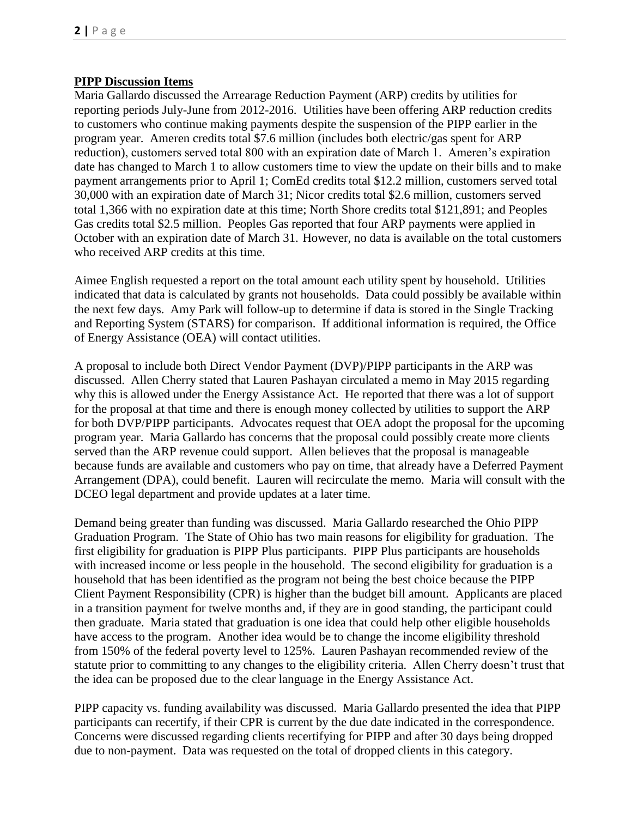### **PIPP Discussion Items**

Maria Gallardo discussed the Arrearage Reduction Payment (ARP) credits by utilities for reporting periods July-June from 2012-2016. Utilities have been offering ARP reduction credits to customers who continue making payments despite the suspension of the PIPP earlier in the program year. Ameren credits total \$7.6 million (includes both electric/gas spent for ARP reduction), customers served total 800 with an expiration date of March 1. Ameren's expiration date has changed to March 1 to allow customers time to view the update on their bills and to make payment arrangements prior to April 1; ComEd credits total \$12.2 million, customers served total 30,000 with an expiration date of March 31; Nicor credits total \$2.6 million, customers served total 1,366 with no expiration date at this time; North Shore credits total \$121,891; and Peoples Gas credits total \$2.5 million. Peoples Gas reported that four ARP payments were applied in October with an expiration date of March 31. However, no data is available on the total customers who received ARP credits at this time.

Aimee English requested a report on the total amount each utility spent by household. Utilities indicated that data is calculated by grants not households. Data could possibly be available within the next few days. Amy Park will follow-up to determine if data is stored in the Single Tracking and Reporting System (STARS) for comparison. If additional information is required, the Office of Energy Assistance (OEA) will contact utilities.

A proposal to include both Direct Vendor Payment (DVP)/PIPP participants in the ARP was discussed. Allen Cherry stated that Lauren Pashayan circulated a memo in May 2015 regarding why this is allowed under the Energy Assistance Act. He reported that there was a lot of support for the proposal at that time and there is enough money collected by utilities to support the ARP for both DVP/PIPP participants. Advocates request that OEA adopt the proposal for the upcoming program year. Maria Gallardo has concerns that the proposal could possibly create more clients served than the ARP revenue could support. Allen believes that the proposal is manageable because funds are available and customers who pay on time, that already have a Deferred Payment Arrangement (DPA), could benefit. Lauren will recirculate the memo. Maria will consult with the DCEO legal department and provide updates at a later time.

Demand being greater than funding was discussed. Maria Gallardo researched the Ohio PIPP Graduation Program. The State of Ohio has two main reasons for eligibility for graduation. The first eligibility for graduation is PIPP Plus participants. PIPP Plus participants are households with increased income or less people in the household. The second eligibility for graduation is a household that has been identified as the program not being the best choice because the PIPP Client Payment Responsibility (CPR) is higher than the budget bill amount. Applicants are placed in a transition payment for twelve months and, if they are in good standing, the participant could then graduate. Maria stated that graduation is one idea that could help other eligible households have access to the program. Another idea would be to change the income eligibility threshold from 150% of the federal poverty level to 125%. Lauren Pashayan recommended review of the statute prior to committing to any changes to the eligibility criteria. Allen Cherry doesn't trust that the idea can be proposed due to the clear language in the Energy Assistance Act.

PIPP capacity vs. funding availability was discussed. Maria Gallardo presented the idea that PIPP participants can recertify, if their CPR is current by the due date indicated in the correspondence. Concerns were discussed regarding clients recertifying for PIPP and after 30 days being dropped due to non-payment. Data was requested on the total of dropped clients in this category.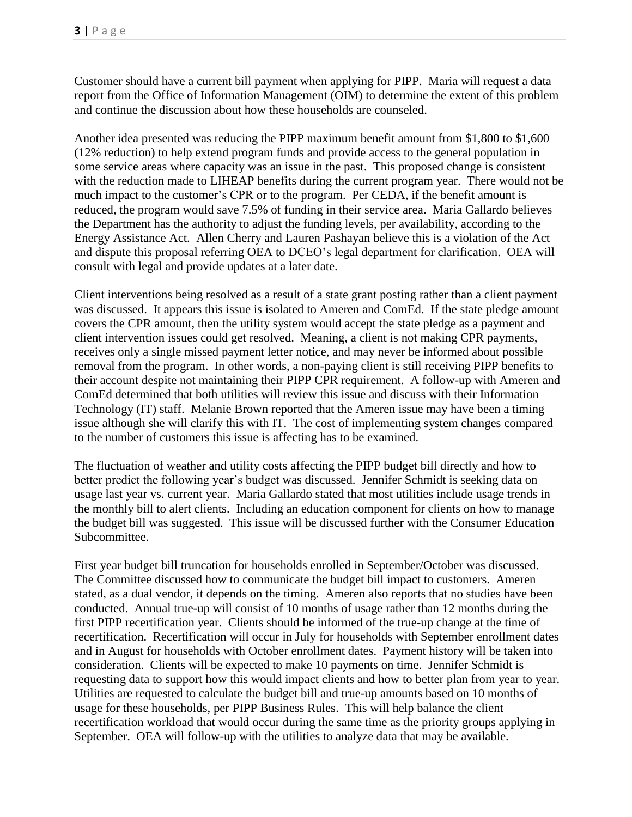Customer should have a current bill payment when applying for PIPP. Maria will request a data report from the Office of Information Management (OIM) to determine the extent of this problem and continue the discussion about how these households are counseled.

Another idea presented was reducing the PIPP maximum benefit amount from \$1,800 to \$1,600 (12% reduction) to help extend program funds and provide access to the general population in some service areas where capacity was an issue in the past. This proposed change is consistent with the reduction made to LIHEAP benefits during the current program year. There would not be much impact to the customer's CPR or to the program. Per CEDA, if the benefit amount is reduced, the program would save 7.5% of funding in their service area. Maria Gallardo believes the Department has the authority to adjust the funding levels, per availability, according to the Energy Assistance Act. Allen Cherry and Lauren Pashayan believe this is a violation of the Act and dispute this proposal referring OEA to DCEO's legal department for clarification. OEA will consult with legal and provide updates at a later date.

Client interventions being resolved as a result of a state grant posting rather than a client payment was discussed. It appears this issue is isolated to Ameren and ComEd. If the state pledge amount covers the CPR amount, then the utility system would accept the state pledge as a payment and client intervention issues could get resolved. Meaning, a client is not making CPR payments, receives only a single missed payment letter notice, and may never be informed about possible removal from the program. In other words, a non-paying client is still receiving PIPP benefits to their account despite not maintaining their PIPP CPR requirement. A follow-up with Ameren and ComEd determined that both utilities will review this issue and discuss with their Information Technology (IT) staff. Melanie Brown reported that the Ameren issue may have been a timing issue although she will clarify this with IT. The cost of implementing system changes compared to the number of customers this issue is affecting has to be examined.

The fluctuation of weather and utility costs affecting the PIPP budget bill directly and how to better predict the following year's budget was discussed. Jennifer Schmidt is seeking data on usage last year vs. current year. Maria Gallardo stated that most utilities include usage trends in the monthly bill to alert clients. Including an education component for clients on how to manage the budget bill was suggested. This issue will be discussed further with the Consumer Education Subcommittee.

First year budget bill truncation for households enrolled in September/October was discussed. The Committee discussed how to communicate the budget bill impact to customers. Ameren stated, as a dual vendor, it depends on the timing. Ameren also reports that no studies have been conducted. Annual true-up will consist of 10 months of usage rather than 12 months during the first PIPP recertification year. Clients should be informed of the true-up change at the time of recertification. Recertification will occur in July for households with September enrollment dates and in August for households with October enrollment dates. Payment history will be taken into consideration. Clients will be expected to make 10 payments on time. Jennifer Schmidt is requesting data to support how this would impact clients and how to better plan from year to year. Utilities are requested to calculate the budget bill and true-up amounts based on 10 months of usage for these households, per PIPP Business Rules. This will help balance the client recertification workload that would occur during the same time as the priority groups applying in September. OEA will follow-up with the utilities to analyze data that may be available.